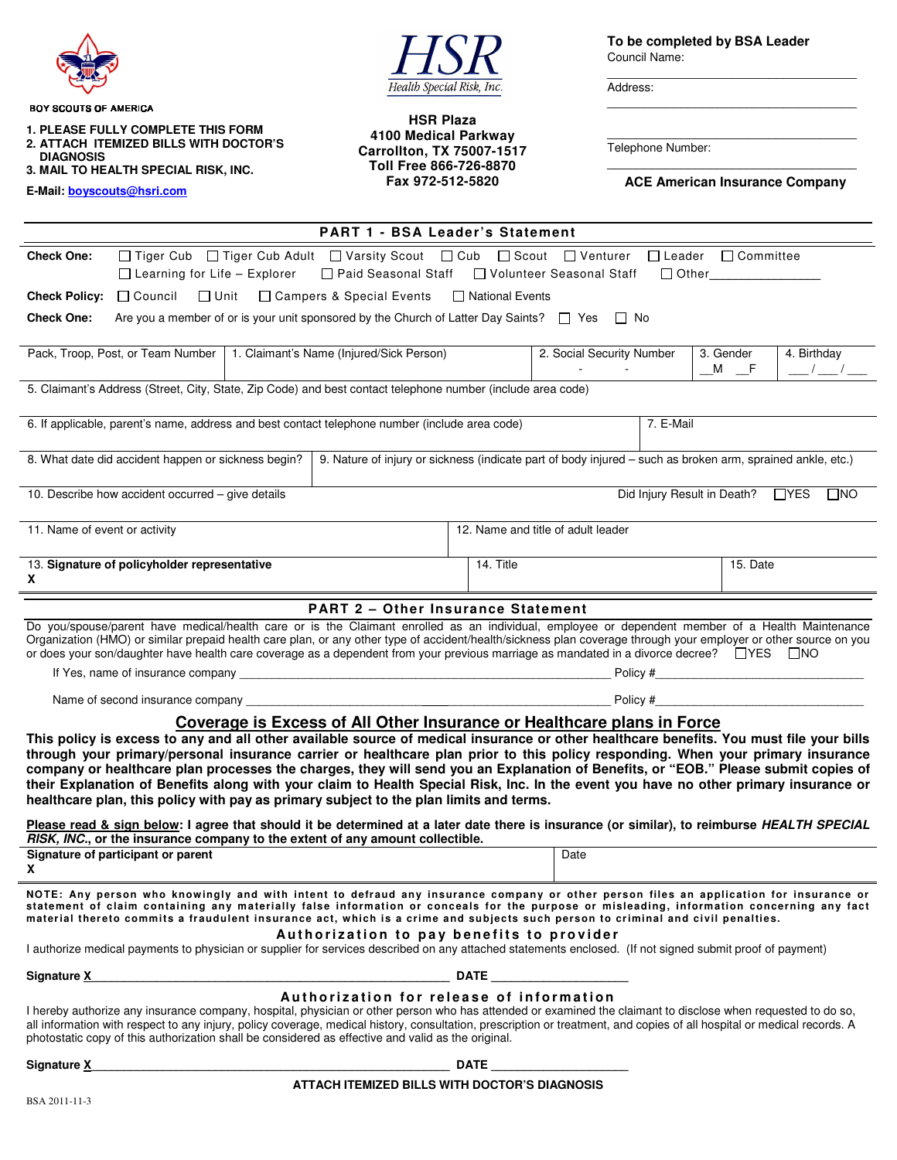

BOY SCOUTS OF AMERICA

**1. PLEASE FULLY COMPLETE THIS FORM 2. ATTACH ITEMIZED BILLS WITH DOCTOR'S** 

 **DIAGNOSIS 3. MAIL TO HEALTH SPECIAL RISK, INC.** 

**E-Mail: boyscouts@hsri.com**

Health Special Risk, Inc.

**HSR Plaza 4100 Medical Parkway Carrollton, TX 75007-1517 Toll Free 866-726-8870 Fax 972-512-5820** 

**To be completed by BSA Leader** Council Name:

Address:

Telephone Number:

\_\_\_\_\_\_\_\_\_\_\_\_\_\_\_\_\_\_\_\_\_\_\_\_\_\_\_\_\_\_\_\_\_\_ **ACE American Insurance Company** 

 $\_$ 

\_\_\_\_\_\_\_\_\_\_\_\_\_\_\_\_\_\_\_\_\_\_\_\_\_\_\_\_\_\_\_\_\_\_

\_\_\_\_\_\_\_\_\_\_\_\_\_\_\_\_\_\_\_\_\_\_\_\_\_\_\_\_\_\_\_\_\_\_

| <b>PART 1 - BSA Leader's Statement</b>                                                                                                                                                                                                                                                                                                                                                                                                                                                                                                                                                                                                                                                                                                                                                                                                                                      |                                                                                                                                                                                                                 |           |                                    |                                                      |  |
|-----------------------------------------------------------------------------------------------------------------------------------------------------------------------------------------------------------------------------------------------------------------------------------------------------------------------------------------------------------------------------------------------------------------------------------------------------------------------------------------------------------------------------------------------------------------------------------------------------------------------------------------------------------------------------------------------------------------------------------------------------------------------------------------------------------------------------------------------------------------------------|-----------------------------------------------------------------------------------------------------------------------------------------------------------------------------------------------------------------|-----------|------------------------------------|------------------------------------------------------|--|
| <b>Check One:</b>                                                                                                                                                                                                                                                                                                                                                                                                                                                                                                                                                                                                                                                                                                                                                                                                                                                           | □ Tiger Cub □ Tiger Cub Adult □ Varsity Scout □ Cub □ Scout □ Venturer □ Leader □ Committee<br>$\Box$ Learning for Life - Explorer<br>□ Paid Seasonal Staff □ Volunteer Seasonal Staff<br>□ Other______________ |           |                                    |                                                      |  |
| <b>Check Policy:</b>                                                                                                                                                                                                                                                                                                                                                                                                                                                                                                                                                                                                                                                                                                                                                                                                                                                        | $\Box$ Council<br>$\square$ Unit<br>□ Campers & Special Events<br>□ National Events                                                                                                                             |           |                                    |                                                      |  |
| <b>Check One:</b><br>Are you a member of or is your unit sponsored by the Church of Latter Day Saints? $\Box$ Yes $\Box$ No                                                                                                                                                                                                                                                                                                                                                                                                                                                                                                                                                                                                                                                                                                                                                 |                                                                                                                                                                                                                 |           |                                    |                                                      |  |
|                                                                                                                                                                                                                                                                                                                                                                                                                                                                                                                                                                                                                                                                                                                                                                                                                                                                             | Pack, Troop, Post, or Team Number   1. Claimant's Name (Injured/Sick Person)                                                                                                                                    |           | 2. Social Security Number          | 4. Birthday<br>3. Gender<br>$M \tF$<br>$\frac{1}{2}$ |  |
| 5. Claimant's Address (Street, City, State, Zip Code) and best contact telephone number (include area code)                                                                                                                                                                                                                                                                                                                                                                                                                                                                                                                                                                                                                                                                                                                                                                 |                                                                                                                                                                                                                 |           |                                    |                                                      |  |
| $\overline{7}$ . E-Mail<br>6. If applicable, parent's name, address and best contact telephone number (include area code)                                                                                                                                                                                                                                                                                                                                                                                                                                                                                                                                                                                                                                                                                                                                                   |                                                                                                                                                                                                                 |           |                                    |                                                      |  |
| 9. Nature of injury or sickness (indicate part of body injured - such as broken arm, sprained ankle, etc.)<br>8. What date did accident happen or sickness begin?                                                                                                                                                                                                                                                                                                                                                                                                                                                                                                                                                                                                                                                                                                           |                                                                                                                                                                                                                 |           |                                    |                                                      |  |
| 10. Describe how accident occurred - give details<br>Did Injury Result in Death?<br>$\Box$ YES<br>$\square$ NO                                                                                                                                                                                                                                                                                                                                                                                                                                                                                                                                                                                                                                                                                                                                                              |                                                                                                                                                                                                                 |           |                                    |                                                      |  |
| 11. Name of event or activity                                                                                                                                                                                                                                                                                                                                                                                                                                                                                                                                                                                                                                                                                                                                                                                                                                               |                                                                                                                                                                                                                 |           | 12. Name and title of adult leader |                                                      |  |
| X                                                                                                                                                                                                                                                                                                                                                                                                                                                                                                                                                                                                                                                                                                                                                                                                                                                                           | 13. Signature of policyholder representative                                                                                                                                                                    | 14. Title |                                    | 15. Date                                             |  |
| <b>PART 2 - Other Insurance Statement</b>                                                                                                                                                                                                                                                                                                                                                                                                                                                                                                                                                                                                                                                                                                                                                                                                                                   |                                                                                                                                                                                                                 |           |                                    |                                                      |  |
| Do you/spouse/parent have medical/health care or is the Claimant enrolled as an individual, employee or dependent member of a Health Maintenance<br>Organization (HMO) or similar prepaid health care plan, or any other type of accident/health/sickness plan coverage through your employer or other source on you<br>or does your son/daughter have health care coverage as a dependent from your previous marriage as mandated in a divorce decree? □ YES □ NO                                                                                                                                                                                                                                                                                                                                                                                                          |                                                                                                                                                                                                                 |           |                                    |                                                      |  |
|                                                                                                                                                                                                                                                                                                                                                                                                                                                                                                                                                                                                                                                                                                                                                                                                                                                                             |                                                                                                                                                                                                                 |           |                                    |                                                      |  |
| Policy #                                                                                                                                                                                                                                                                                                                                                                                                                                                                                                                                                                                                                                                                                                                                                                                                                                                                    |                                                                                                                                                                                                                 |           |                                    |                                                      |  |
| Coverage is Excess of All Other Insurance or Healthcare plans in Force<br>This policy is excess to any and all other available source of medical insurance or other healthcare benefits. You must file your bills<br>through your primary/personal insurance carrier or healthcare plan prior to this policy responding. When your primary insurance<br>company or healthcare plan processes the charges, they will send you an Explanation of Benefits, or "EOB." Please submit copies of<br>their Explanation of Benefits along with your claim to Health Special Risk, Inc. In the event you have no other primary insurance or<br>healthcare plan, this policy with pay as primary subject to the plan limits and terms.<br>Please read & sign below: I agree that should it be determined at a later date there is insurance (or similar), to reimburse HEALTH SPECIAL |                                                                                                                                                                                                                 |           |                                    |                                                      |  |
| RISK, INC., or the insurance company to the extent of any amount collectible.                                                                                                                                                                                                                                                                                                                                                                                                                                                                                                                                                                                                                                                                                                                                                                                               |                                                                                                                                                                                                                 |           |                                    |                                                      |  |
|                                                                                                                                                                                                                                                                                                                                                                                                                                                                                                                                                                                                                                                                                                                                                                                                                                                                             | Signature of participant or parent                                                                                                                                                                              |           | Date                               |                                                      |  |
| NOTE: Any person who knowingly and with intent to defraud any insurance company or other person files an application for insurance or<br>statement of claim containing any materially false information or conceals for the purpose or misleading, information concerning any fact<br>material thereto commits a fraudulent insurance act, which is a crime and subjects such person to criminal and civil penalties.                                                                                                                                                                                                                                                                                                                                                                                                                                                       |                                                                                                                                                                                                                 |           |                                    |                                                      |  |
| Authorization to pay benefits to provider<br>I authorize medical payments to physician or supplier for services described on any attached statements enclosed. (If not signed submit proof of payment)                                                                                                                                                                                                                                                                                                                                                                                                                                                                                                                                                                                                                                                                      |                                                                                                                                                                                                                 |           |                                    |                                                      |  |
|                                                                                                                                                                                                                                                                                                                                                                                                                                                                                                                                                                                                                                                                                                                                                                                                                                                                             |                                                                                                                                                                                                                 |           |                                    |                                                      |  |
| Authorization for release of information<br>I hereby authorize any insurance company, hospital, physician or other person who has attended or examined the claimant to disclose when requested to do so,<br>all information with respect to any injury, policy coverage, medical history, consultation, prescription or treatment, and copies of all hospital or medical records. A<br>photostatic copy of this authorization shall be considered as effective and valid as the original.                                                                                                                                                                                                                                                                                                                                                                                   |                                                                                                                                                                                                                 |           |                                    |                                                      |  |
|                                                                                                                                                                                                                                                                                                                                                                                                                                                                                                                                                                                                                                                                                                                                                                                                                                                                             |                                                                                                                                                                                                                 |           |                                    |                                                      |  |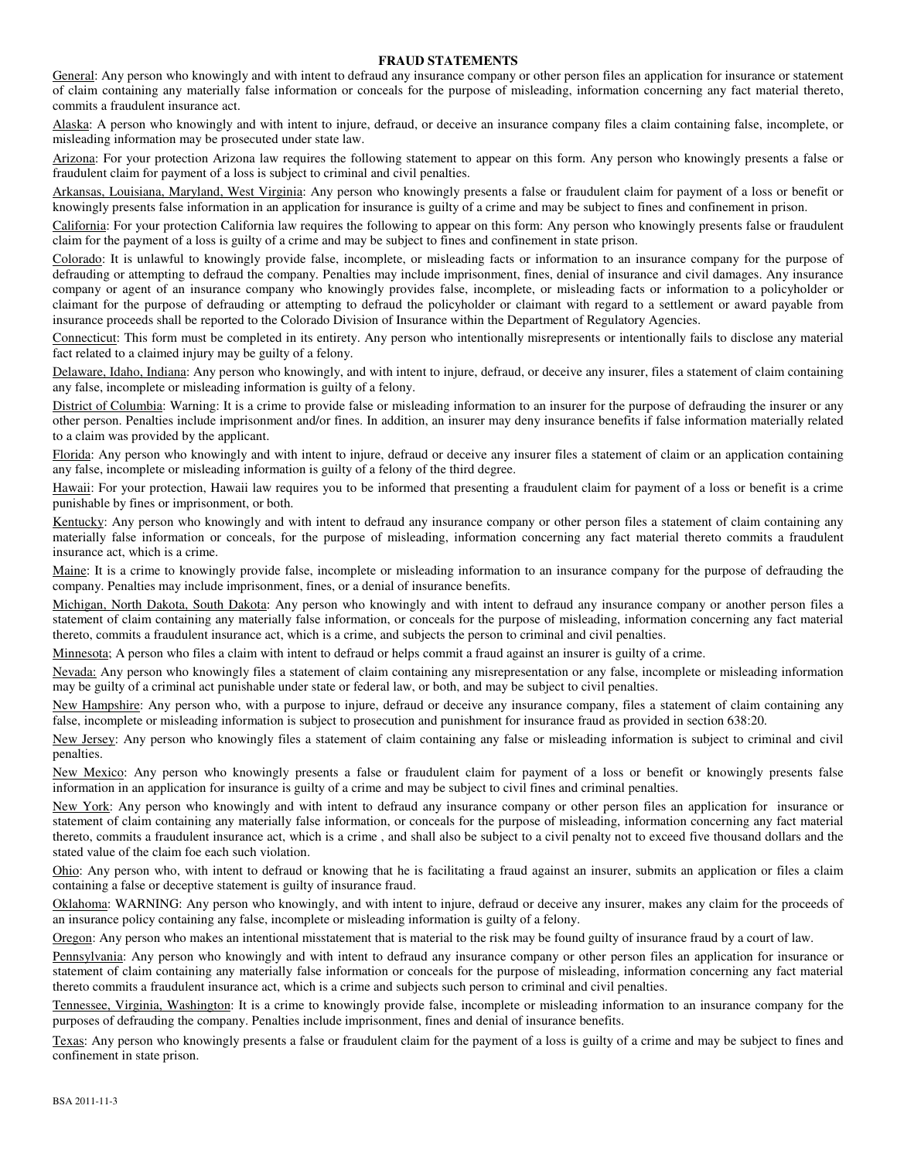#### **FRAUD STATEMENTS**

General: Any person who knowingly and with intent to defraud any insurance company or other person files an application for insurance or statement of claim containing any materially false information or conceals for the purpose of misleading, information concerning any fact material thereto, commits a fraudulent insurance act.

Alaska: A person who knowingly and with intent to injure, defraud, or deceive an insurance company files a claim containing false, incomplete, or misleading information may be prosecuted under state law.

Arizona: For your protection Arizona law requires the following statement to appear on this form. Any person who knowingly presents a false or fraudulent claim for payment of a loss is subject to criminal and civil penalties.

Arkansas, Louisiana, Maryland, West Virginia: Any person who knowingly presents a false or fraudulent claim for payment of a loss or benefit or knowingly presents false information in an application for insurance is guilty of a crime and may be subject to fines and confinement in prison.

California: For your protection California law requires the following to appear on this form: Any person who knowingly presents false or fraudulent claim for the payment of a loss is guilty of a crime and may be subject to fines and confinement in state prison.

Colorado: It is unlawful to knowingly provide false, incomplete, or misleading facts or information to an insurance company for the purpose of defrauding or attempting to defraud the company. Penalties may include imprisonment, fines, denial of insurance and civil damages. Any insurance company or agent of an insurance company who knowingly provides false, incomplete, or misleading facts or information to a policyholder or claimant for the purpose of defrauding or attempting to defraud the policyholder or claimant with regard to a settlement or award payable from insurance proceeds shall be reported to the Colorado Division of Insurance within the Department of Regulatory Agencies.

Connecticut: This form must be completed in its entirety. Any person who intentionally misrepresents or intentionally fails to disclose any material fact related to a claimed injury may be guilty of a felony.

Delaware, Idaho, Indiana: Any person who knowingly, and with intent to injure, defraud, or deceive any insurer, files a statement of claim containing any false, incomplete or misleading information is guilty of a felony.

District of Columbia: Warning: It is a crime to provide false or misleading information to an insurer for the purpose of defrauding the insurer or any other person. Penalties include imprisonment and/or fines. In addition, an insurer may deny insurance benefits if false information materially related to a claim was provided by the applicant.

Florida: Any person who knowingly and with intent to injure, defraud or deceive any insurer files a statement of claim or an application containing any false, incomplete or misleading information is guilty of a felony of the third degree.

Hawaii: For your protection, Hawaii law requires you to be informed that presenting a fraudulent claim for payment of a loss or benefit is a crime punishable by fines or imprisonment, or both.

Kentucky: Any person who knowingly and with intent to defraud any insurance company or other person files a statement of claim containing any materially false information or conceals, for the purpose of misleading, information concerning any fact material thereto commits a fraudulent insurance act, which is a crime.

Maine: It is a crime to knowingly provide false, incomplete or misleading information to an insurance company for the purpose of defrauding the company. Penalties may include imprisonment, fines, or a denial of insurance benefits.

Michigan, North Dakota, South Dakota: Any person who knowingly and with intent to defraud any insurance company or another person files a statement of claim containing any materially false information, or conceals for the purpose of misleading, information concerning any fact material thereto, commits a fraudulent insurance act, which is a crime, and subjects the person to criminal and civil penalties.

Minnesota; A person who files a claim with intent to defraud or helps commit a fraud against an insurer is guilty of a crime.

Nevada: Any person who knowingly files a statement of claim containing any misrepresentation or any false, incomplete or misleading information may be guilty of a criminal act punishable under state or federal law, or both, and may be subject to civil penalties.

New Hampshire: Any person who, with a purpose to injure, defraud or deceive any insurance company, files a statement of claim containing any false, incomplete or misleading information is subject to prosecution and punishment for insurance fraud as provided in section 638:20.

New Jersey: Any person who knowingly files a statement of claim containing any false or misleading information is subject to criminal and civil penalties.

New Mexico: Any person who knowingly presents a false or fraudulent claim for payment of a loss or benefit or knowingly presents false information in an application for insurance is guilty of a crime and may be subject to civil fines and criminal penalties.

New York: Any person who knowingly and with intent to defraud any insurance company or other person files an application for insurance or statement of claim containing any materially false information, or conceals for the purpose of misleading, information concerning any fact material thereto, commits a fraudulent insurance act, which is a crime , and shall also be subject to a civil penalty not to exceed five thousand dollars and the stated value of the claim foe each such violation.

Ohio: Any person who, with intent to defraud or knowing that he is facilitating a fraud against an insurer, submits an application or files a claim containing a false or deceptive statement is guilty of insurance fraud.

Oklahoma: WARNING: Any person who knowingly, and with intent to injure, defraud or deceive any insurer, makes any claim for the proceeds of an insurance policy containing any false, incomplete or misleading information is guilty of a felony.

Oregon: Any person who makes an intentional misstatement that is material to the risk may be found guilty of insurance fraud by a court of law.

Pennsylvania: Any person who knowingly and with intent to defraud any insurance company or other person files an application for insurance or statement of claim containing any materially false information or conceals for the purpose of misleading, information concerning any fact material thereto commits a fraudulent insurance act, which is a crime and subjects such person to criminal and civil penalties.

Tennessee, Virginia, Washington: It is a crime to knowingly provide false, incomplete or misleading information to an insurance company for the purposes of defrauding the company. Penalties include imprisonment, fines and denial of insurance benefits.

Texas: Any person who knowingly presents a false or fraudulent claim for the payment of a loss is guilty of a crime and may be subject to fines and confinement in state prison.